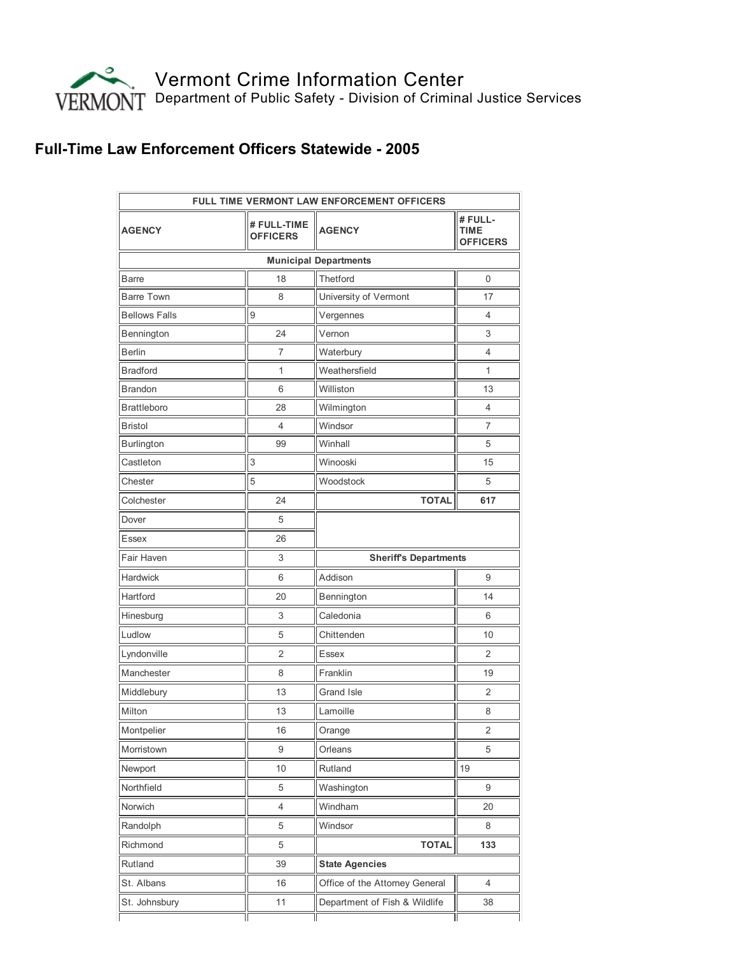

## Full-Time Law Enforcement Officers Statewide - 2005

| <b>FULL TIME VERMONT LAW ENFORCEMENT OFFICERS</b> |                                |                                |                                           |  |
|---------------------------------------------------|--------------------------------|--------------------------------|-------------------------------------------|--|
| <b>AGENCY</b>                                     | # FULL-TIME<br><b>OFFICERS</b> | <b>AGENCY</b>                  | # FULL-<br><b>TIME</b><br><b>OFFICERS</b> |  |
|                                                   |                                | <b>Municipal Departments</b>   |                                           |  |
| <b>Barre</b>                                      | 18                             | Thetford                       | $\mathbf 0$                               |  |
| <b>Barre Town</b>                                 | 8                              | University of Vermont          | 17                                        |  |
| <b>Bellows Falls</b>                              | 9                              | Vergennes                      | 4                                         |  |
| Bennington                                        | 24                             | Vernon                         | 3                                         |  |
| <b>Berlin</b>                                     | 7                              | Waterbury                      | 4                                         |  |
| <b>Bradford</b>                                   | 1                              | Weathersfield                  | 1                                         |  |
| <b>Brandon</b>                                    | 6                              | Williston                      | 13                                        |  |
| <b>Brattleboro</b>                                | 28                             | Wilmington                     | 4                                         |  |
| <b>Bristol</b>                                    | 4                              | Windsor                        | 7                                         |  |
| Burlington                                        | 99                             | Winhall                        | 5                                         |  |
| Castleton                                         | 3                              | Winooski                       | 15                                        |  |
| Chester                                           | 5                              | Woodstock                      | 5                                         |  |
| Colchester                                        | 24                             | <b>TOTAL</b>                   | 617                                       |  |
| Dover                                             | 5                              |                                |                                           |  |
| <b>Essex</b>                                      | 26                             |                                |                                           |  |
| Fair Haven                                        | 3                              | <b>Sheriff's Departments</b>   |                                           |  |
| Hardwick                                          | 6                              | Addison                        | 9                                         |  |
| Hartford                                          | 20                             | Bennington                     | 14                                        |  |
| Hinesburg                                         | 3                              | Caledonia                      | 6                                         |  |
| Ludlow                                            | 5                              | Chittenden                     | 10                                        |  |
| Lyndonville                                       | 2                              | Essex                          | 2                                         |  |
| Manchester                                        | 8                              | Franklin                       | 19                                        |  |
| Middlebury                                        | 13                             | Grand Isle                     | 2                                         |  |
| Milton                                            | 13                             | Lamoille                       | 8                                         |  |
| Montpelier                                        | 16                             | Orange                         | 2                                         |  |
| Morristown                                        | 9                              | Orleans                        | 5                                         |  |
| Newport                                           | 10                             | Rutland                        | 19                                        |  |
| Northfield                                        | 5                              | Washington                     | 9                                         |  |
| Norwich                                           | 4                              | Windham                        | 20                                        |  |
| Randolph                                          | 5                              | Windsor                        | 8                                         |  |
| Richmond                                          | 5                              | <b>TOTAL</b>                   | 133                                       |  |
| Rutland                                           | 39                             | <b>State Agencies</b>          |                                           |  |
| St. Albans                                        | 16                             | Office of the Attorney General | $\overline{4}$                            |  |
| St. Johnsbury                                     | 11                             | Department of Fish & Wildlife  | 38                                        |  |
|                                                   |                                |                                |                                           |  |